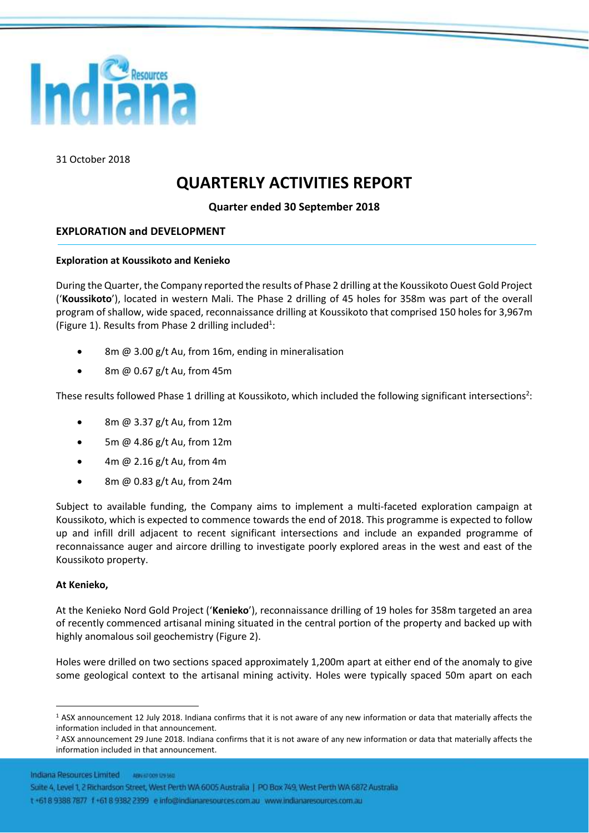

31 October 2018

# **QUARTERLY ACTIVITIES REPORT**

### **Quarter ended 30 September 2018**

### **EXPLORATION and DEVELOPMENT**

#### **Exploration at Koussikoto and Kenieko**

During the Quarter, the Company reported the results of Phase 2 drilling at the Koussikoto Ouest Gold Project ('**Koussikoto**'), located in western Mali. The Phase 2 drilling of 45 holes for 358m was part of the overall program of shallow, wide spaced, reconnaissance drilling at Koussikoto that comprised 150 holes for 3,967m (Figure 1). Results from Phase 2 drilling included<sup>1</sup>:

- 8m @ 3.00 g/t Au, from 16m, ending in mineralisation
- 8m @ 0.67 g/t Au, from 45m

These results followed Phase 1 drilling at Koussikoto, which included the following significant intersections<sup>2</sup>:

- 8m @ 3.37 g/t Au, from 12m
- 5m @ 4.86 g/t Au, from 12m
- 4m @ 2.16 g/t Au, from 4m
- 8m @ 0.83 g/t Au, from 24m

Subject to available funding, the Company aims to implement a multi-faceted exploration campaign at Koussikoto, which is expected to commence towards the end of 2018. This programme is expected to follow up and infill drill adjacent to recent significant intersections and include an expanded programme of reconnaissance auger and aircore drilling to investigate poorly explored areas in the west and east of the Koussikoto property.

#### **At Kenieko,**

 $\overline{a}$ 

At the Kenieko Nord Gold Project ('**Kenieko**'), reconnaissance drilling of 19 holes for 358m targeted an area of recently commenced artisanal mining situated in the central portion of the property and backed up with highly anomalous soil geochemistry (Figure 2).

Holes were drilled on two sections spaced approximately 1,200m apart at either end of the anomaly to give some geological context to the artisanal mining activity. Holes were typically spaced 50m apart on each

Indiana Resources Limited ABN #2009 09580

Suite 4, Level 1, 2 Richardson Street, West Perth WA 6005 Australia | PO Box 749, West Perth WA 6872 Australia

t +618 9388 7877 1+61 8 9382 2399 e info@indianaresources.com.au www.indianaresources.com.au

<sup>1</sup> ASX announcement 12 July 2018. Indiana confirms that it is not aware of any new information or data that materially affects the information included in that announcement.

<sup>&</sup>lt;sup>2</sup> ASX announcement 29 June 2018. Indiana confirms that it is not aware of any new information or data that materially affects the information included in that announcement.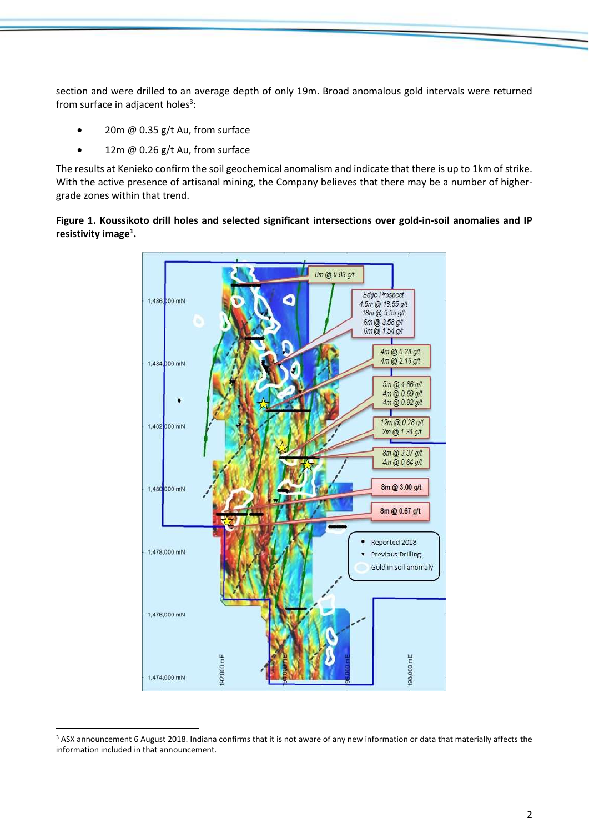section and were drilled to an average depth of only 19m. Broad anomalous gold intervals were returned from surface in adjacent holes<sup>3</sup>:

- 20m @ 0.35 g/t Au, from surface
- 12m  $@$  0.26 g/t Au, from surface

The results at Kenieko confirm the soil geochemical anomalism and indicate that there is up to 1km of strike. With the active presence of artisanal mining, the Company believes that there may be a number of highergrade zones within that trend.

**Figure 1. Koussikoto drill holes and selected significant intersections over gold-in-soil anomalies and IP resistivity image<sup>1</sup> .**



 $\overline{a}$ <sup>3</sup> ASX announcement 6 August 2018. Indiana confirms that it is not aware of any new information or data that materially affects the information included in that announcement.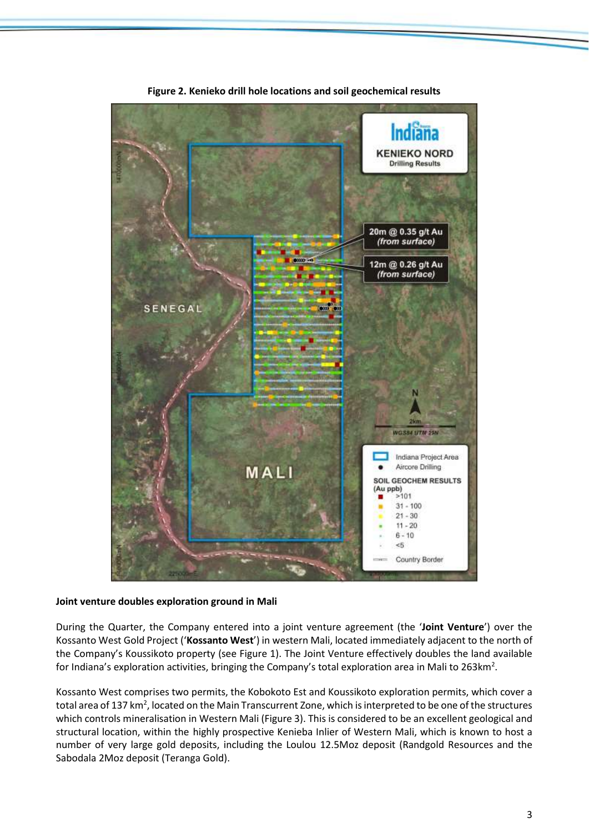

**Figure 2. Kenieko drill hole locations and soil geochemical results**

#### **Joint venture doubles exploration ground in Mali**

During the Quarter, the Company entered into a joint venture agreement (the '**Joint Venture**') over the Kossanto West Gold Project ('**Kossanto West**') in western Mali, located immediately adjacent to the north of the Company's Koussikoto property (see Figure 1). The Joint Venture effectively doubles the land available for Indiana's exploration activities, bringing the Company's total exploration area in Mali to 263km<sup>2</sup>.

Kossanto West comprises two permits, the Kobokoto Est and Koussikoto exploration permits, which cover a total area of 137 km<sup>2</sup>, located on the Main Transcurrent Zone, which is interpreted to be one of the structures which controls mineralisation in Western Mali (Figure 3). This is considered to be an excellent geological and structural location, within the highly prospective Kenieba Inlier of Western Mali, which is known to host a number of very large gold deposits, including the Loulou 12.5Moz deposit (Randgold Resources and the Sabodala 2Moz deposit (Teranga Gold).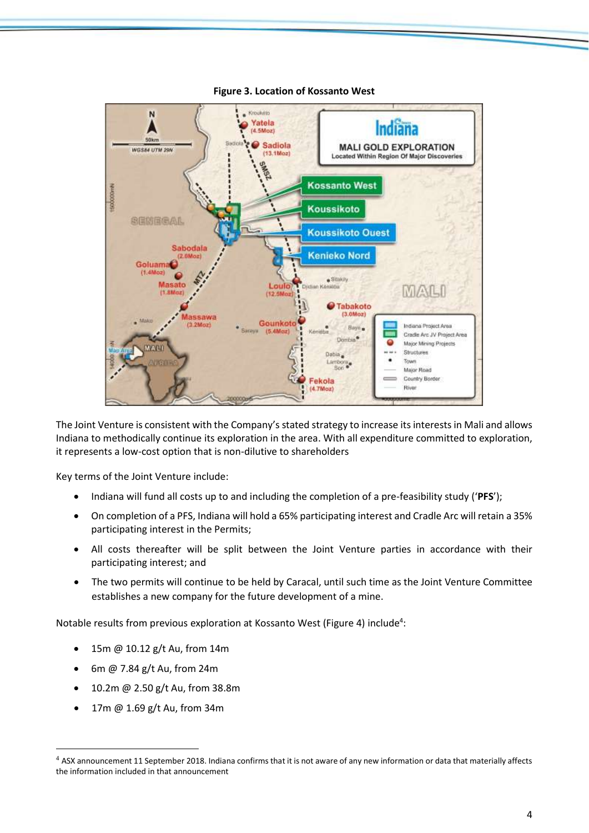

#### **Figure 3. Location of Kossanto West**

The Joint Venture is consistent with the Company's stated strategy to increase its interests in Mali and allows Indiana to methodically continue its exploration in the area. With all expenditure committed to exploration, it represents a low-cost option that is non-dilutive to shareholders

Key terms of the Joint Venture include:

- Indiana will fund all costs up to and including the completion of a pre-feasibility study ('**PFS**');
- On completion of a PFS, Indiana will hold a 65% participating interest and Cradle Arc will retain a 35% participating interest in the Permits;
- All costs thereafter will be split between the Joint Venture parties in accordance with their participating interest; and
- The two permits will continue to be held by Caracal, until such time as the Joint Venture Committee establishes a new company for the future development of a mine.

Notable results from previous exploration at Kossanto West (Figure 4) include<sup>4</sup>:

- 15m @ 10.12 g/t Au, from 14m
- 6m @ 7.84 g/t Au, from 24m
- 10.2m @ 2.50 g/t Au, from 38.8m
- 17m @ 1.69 g/t Au, from 34m

 $\overline{a}$ 

<sup>&</sup>lt;sup>4</sup> ASX announcement 11 September 2018. Indiana confirms that it is not aware of any new information or data that materially affects the information included in that announcement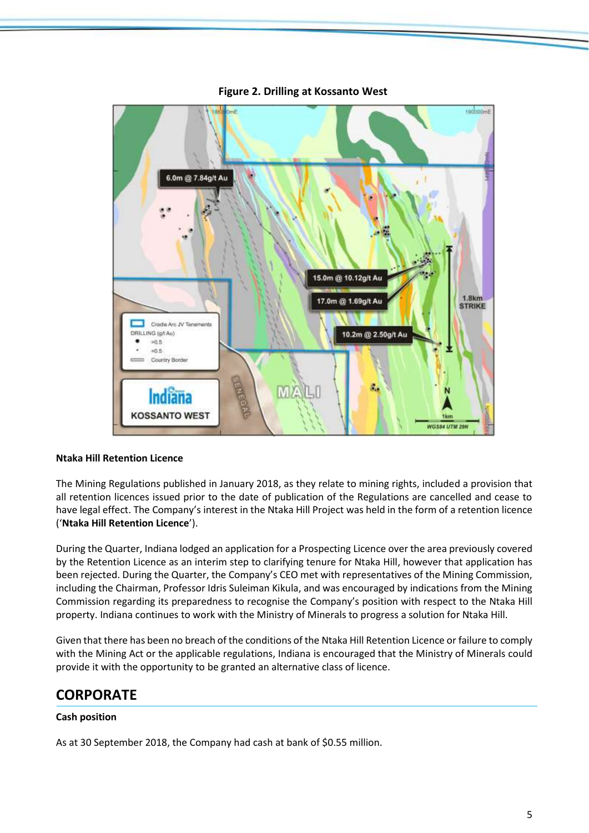

**Figure 2. Drilling at Kossanto West**

#### **Ntaka Hill Retention Licence**

The Mining Regulations published in January 2018, as they relate to mining rights, included a provision that all retention licences issued prior to the date of publication of the Regulations are cancelled and cease to have legal effect. The Company's interest in the Ntaka Hill Project was held in the form of a retention licence ('**Ntaka Hill Retention Licence**').

During the Quarter, Indiana lodged an application for a Prospecting Licence over the area previously covered by the Retention Licence as an interim step to clarifying tenure for Ntaka Hill, however that application has been rejected. During the Quarter, the Company's CEO met with representatives of the Mining Commission, including the Chairman, Professor Idris Suleiman Kikula, and was encouraged by indications from the Mining Commission regarding its preparedness to recognise the Company's position with respect to the Ntaka Hill property. Indiana continues to work with the Ministry of Minerals to progress a solution for Ntaka Hill.

Given that there has been no breach of the conditions of the Ntaka Hill Retention Licence or failure to comply with the Mining Act or the applicable regulations, Indiana is encouraged that the Ministry of Minerals could provide it with the opportunity to be granted an alternative class of licence.

## **CORPORATE**

#### **Cash position**

As at 30 September 2018, the Company had cash at bank of \$0.55 million.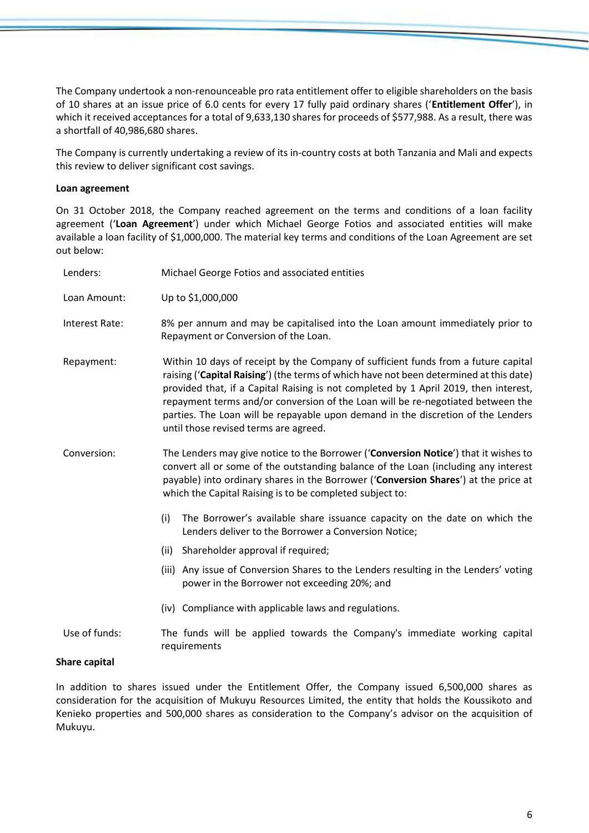The Company undertook a non-renounceable pro rata entitlement offer to eligible shareholders on the basis of 10 shares at an issue price of 6.0 cents for every 17 fully paid ordinary shares ('**Entitlement Offer**'), in which it received acceptances for a total of 9,633,130 shares for proceeds of \$577,988. As a result, there was a shortfall of 40,986,680 shares.

The Company is currently undertaking a review of its in-country costs at both Tanzania and Mali and expects this review to deliver significant cost savings.

#### **Loan agreement**

On 31 October 2018, the Company reached agreement on the terms and conditions of a loan facility agreement ('**Loan Agreement**') under which Michael George Fotios and associated entities will make available a loan facility of \$1,000,000. The material key terms and conditions of the Loan Agreement are set out below:

| Lenders:       | Michael George Fotios and associated entities                                                                                                                                                                                                                                                                                                                                                                                                                                        |
|----------------|--------------------------------------------------------------------------------------------------------------------------------------------------------------------------------------------------------------------------------------------------------------------------------------------------------------------------------------------------------------------------------------------------------------------------------------------------------------------------------------|
| Loan Amount:   | Up to \$1,000,000                                                                                                                                                                                                                                                                                                                                                                                                                                                                    |
| Interest Rate: | 8% per annum and may be capitalised into the Loan amount immediately prior to<br>Repayment or Conversion of the Loan.                                                                                                                                                                                                                                                                                                                                                                |
| Repayment:     | Within 10 days of receipt by the Company of sufficient funds from a future capital<br>raising ('Capital Raising') (the terms of which have not been determined at this date)<br>provided that, if a Capital Raising is not completed by 1 April 2019, then interest,<br>repayment terms and/or conversion of the Loan will be re-negotiated between the<br>parties. The Loan will be repayable upon demand in the discretion of the Lenders<br>until those revised terms are agreed. |
| Conversion:    | The Lenders may give notice to the Borrower ('Conversion Notice') that it wishes to<br>convert all or some of the outstanding balance of the Loan (including any interest<br>payable) into ordinary shares in the Borrower ('Conversion Shares') at the price at<br>which the Capital Raising is to be completed subject to:                                                                                                                                                         |
|                | (i)<br>The Borrower's available share issuance capacity on the date on which the<br>Lenders deliver to the Borrower a Conversion Notice;                                                                                                                                                                                                                                                                                                                                             |
|                | (ii) Shareholder approval if required;                                                                                                                                                                                                                                                                                                                                                                                                                                               |
|                | (iii) Any issue of Conversion Shares to the Lenders resulting in the Lenders' voting<br>power in the Borrower not exceeding 20%; and                                                                                                                                                                                                                                                                                                                                                 |
|                | (iv) Compliance with applicable laws and regulations.                                                                                                                                                                                                                                                                                                                                                                                                                                |
| Use of funds:  | The funds will be applied towards the Company's immediate working capital<br>requirements                                                                                                                                                                                                                                                                                                                                                                                            |
| المستقصر مسامر |                                                                                                                                                                                                                                                                                                                                                                                                                                                                                      |

#### **Share capital**

In addition to shares issued under the Entitlement Offer, the Company issued 6,500,000 shares as consideration for the acquisition of Mukuyu Resources Limited, the entity that holds the Koussikoto and Kenieko properties and 500,000 shares as consideration to the Company's advisor on the acquisition of Mukuyu.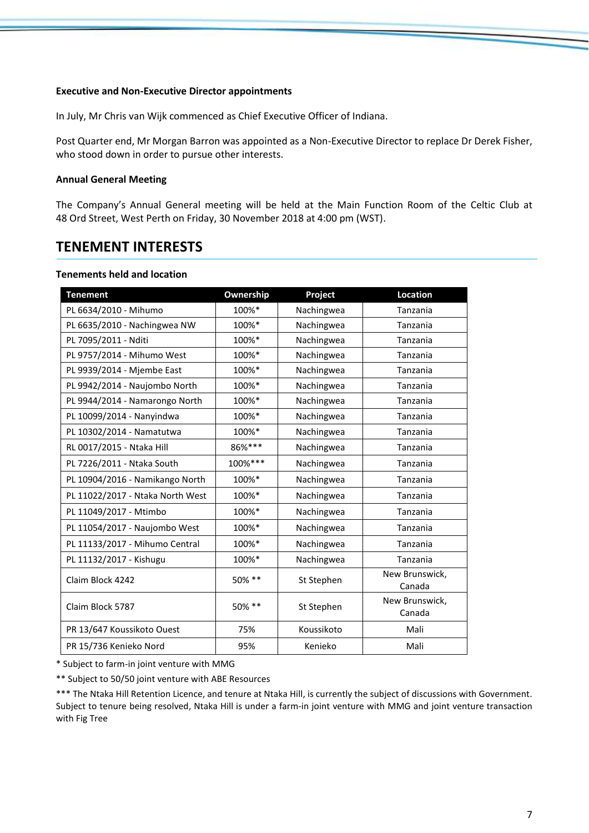#### **Executive and Non-Executive Director appointments**

In July, Mr Chris van Wijk commenced as Chief Executive Officer of Indiana.

Post Quarter end, Mr Morgan Barron was appointed as a Non-Executive Director to replace Dr Derek Fisher, who stood down in order to pursue other interests.

#### **Annual General Meeting**

The Company's Annual General meeting will be held at the Main Function Room of the Celtic Club at 48 Ord Street, West Perth on Friday, 30 November 2018 at 4:00 pm (WST).

# **TENEMENT INTERESTS**

#### **Tenements held and location**

| <b>Tenement</b>                  | Ownership | Project    | <b>Location</b>          |
|----------------------------------|-----------|------------|--------------------------|
| PL 6634/2010 - Mihumo            | 100%*     | Nachingwea | Tanzania                 |
| PL 6635/2010 - Nachingwea NW     | 100%*     | Nachingwea | Tanzania                 |
| PL 7095/2011 - Nditi             | 100%*     | Nachingwea | Tanzania                 |
| PL 9757/2014 - Mihumo West       | 100%*     | Nachingwea | Tanzania                 |
| PL 9939/2014 - Mjembe East       | 100%*     | Nachingwea | Tanzania                 |
| PL 9942/2014 - Naujombo North    | 100%*     | Nachingwea | Tanzania                 |
| PL 9944/2014 - Namarongo North   | 100%*     | Nachingwea | Tanzania                 |
| PL 10099/2014 - Nanyindwa        | 100%*     | Nachingwea | Tanzania                 |
| PL 10302/2014 - Namatutwa        | 100%*     | Nachingwea | Tanzania                 |
| RL 0017/2015 - Ntaka Hill        | 86%***    | Nachingwea | Tanzania                 |
| PL 7226/2011 - Ntaka South       | 100%***   | Nachingwea | Tanzania                 |
| PL 10904/2016 - Namikango North  | 100%*     | Nachingwea | Tanzania                 |
| PL 11022/2017 - Ntaka North West | 100%*     | Nachingwea | Tanzania                 |
| PL 11049/2017 - Mtimbo           | 100%*     | Nachingwea | Tanzania                 |
| PL 11054/2017 - Naujombo West    | 100%*     | Nachingwea | Tanzania                 |
| PL 11133/2017 - Mihumo Central   | 100%*     | Nachingwea | Tanzania                 |
| PL 11132/2017 - Kishugu          | 100%*     | Nachingwea | Tanzania                 |
| Claim Block 4242                 | 50% **    | St Stephen | New Brunswick,<br>Canada |
| Claim Block 5787                 | 50% **    | St Stephen | New Brunswick,<br>Canada |
| PR 13/647 Koussikoto Ouest       | 75%       | Koussikoto | Mali                     |
| PR 15/736 Kenieko Nord           | 95%       | Kenieko    | Mali                     |

\* Subject to farm-in joint venture with MMG

\*\* Subject to 50/50 joint venture with ABE Resources

\*\*\* The Ntaka Hill Retention Licence, and tenure at Ntaka Hill, is currently the subject of discussions with Government. Subject to tenure being resolved, Ntaka Hill is under a farm-in joint venture with MMG and joint venture transaction with Fig Tree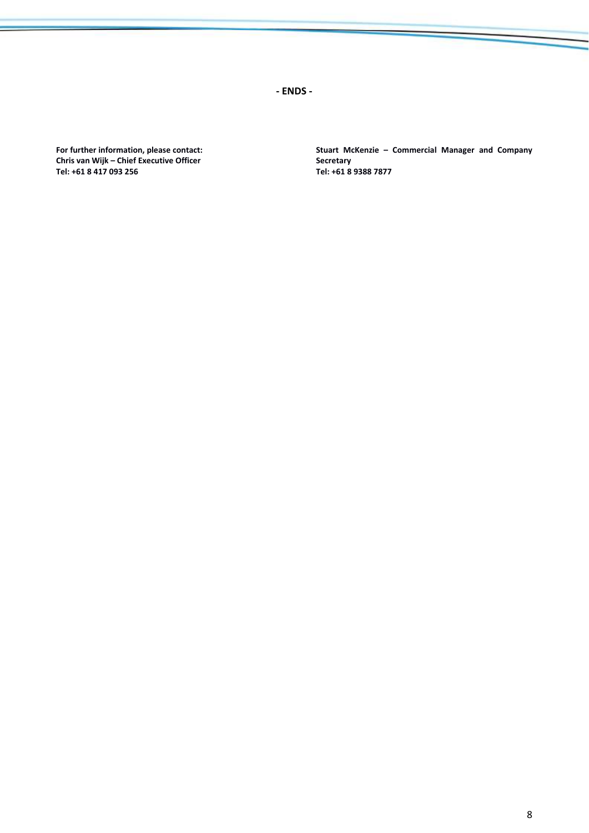**- ENDS -**

**For further information, please contact: Chris van Wijk – Chief Executive Officer Tel: +61 8 417 093 256**

**Stuart McKenzie – Commercial Manager and Company Secretary Tel: +61 8 9388 7877**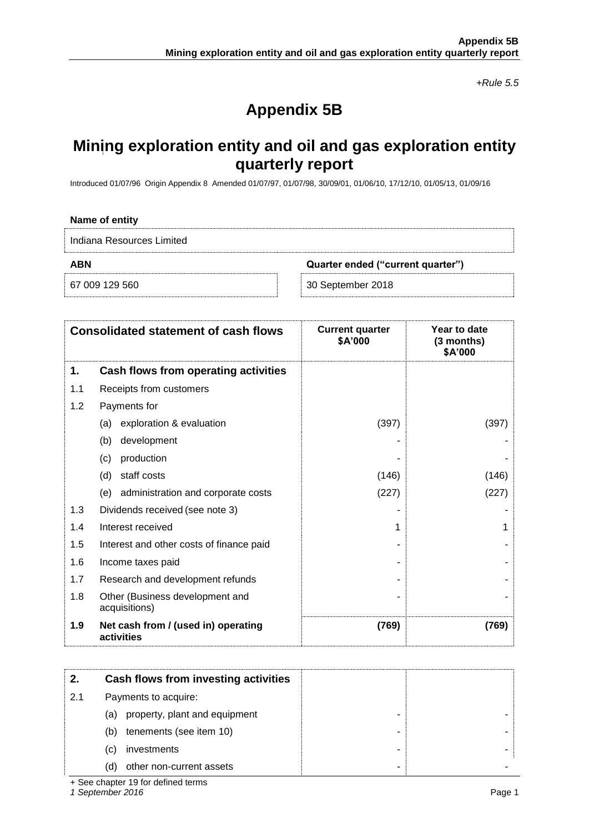*+Rule 5.5*

# **Appendix 5B**

# **Mining exploration entity and oil and gas exploration entity quarterly report**

Introduced 01/07/96 Origin Appendix 8 Amended 01/07/97, 01/07/98, 30/09/01, 01/06/10, 17/12/10, 01/05/13, 01/09/16

| Name of entity            |                                   |  |
|---------------------------|-----------------------------------|--|
| Indiana Resources Limited |                                   |  |
| <b>ABN</b>                | Quarter ended ("current quarter") |  |
| 67 009 129 560            | 30 September 2018                 |  |

|     | <b>Consolidated statement of cash flows</b>       | <b>Current quarter</b><br>\$A'000 | Year to date<br>$(3$ months)<br>\$A'000 |
|-----|---------------------------------------------------|-----------------------------------|-----------------------------------------|
| 1.  | Cash flows from operating activities              |                                   |                                         |
| 1.1 | Receipts from customers                           |                                   |                                         |
| 1.2 | Payments for                                      |                                   |                                         |
|     | exploration & evaluation<br>(a)                   | (397)                             | (397)                                   |
|     | (b)<br>development                                |                                   |                                         |
|     | production<br>(c)                                 |                                   |                                         |
|     | staff costs<br>(d)                                | (146)                             | (146)                                   |
|     | (e) administration and corporate costs            | (227)                             | (227)                                   |
| 1.3 | Dividends received (see note 3)                   |                                   |                                         |
| 1.4 | Interest received                                 |                                   |                                         |
| 1.5 | Interest and other costs of finance paid          |                                   |                                         |
| 1.6 | Income taxes paid                                 |                                   |                                         |
| 1.7 | Research and development refunds                  |                                   |                                         |
| 1.8 | Other (Business development and<br>acquisitions)  |                                   |                                         |
| 1.9 | Net cash from / (used in) operating<br>activities | (769)                             | (769)                                   |

| 2.  | Cash flows from investing activities |
|-----|--------------------------------------|
| 2.1 | Payments to acquire:                 |
|     | (a) property, plant and equipment    |
|     | tenements (see item 10)<br>(b)       |
|     | investments<br>C)                    |
|     | other non-current assets<br>d)       |

+ See chapter 19 for defined terms

*1 September 2016* Page 1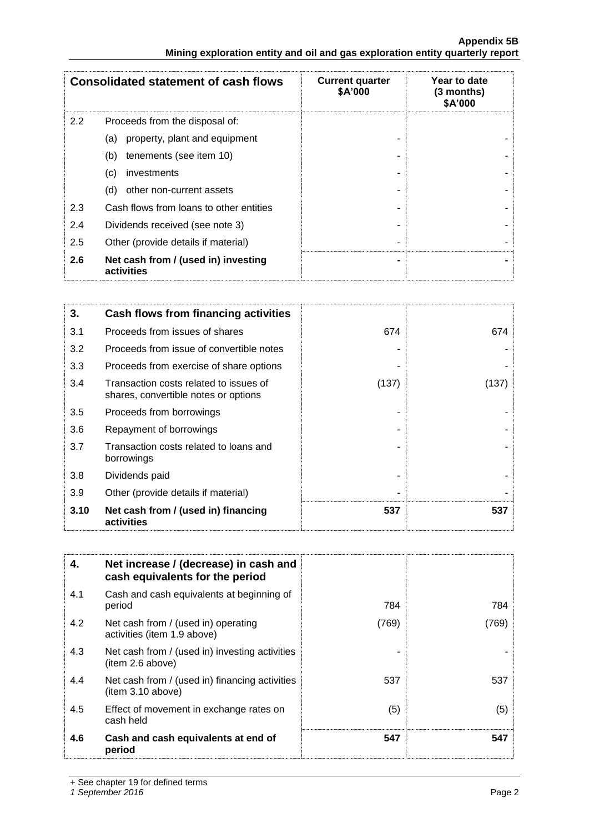|     | <b>Consolidated statement of cash flows</b>       | <b>Current quarter</b><br>\$A'000 | Year to date<br>$(3$ months)<br>\$A'000 |
|-----|---------------------------------------------------|-----------------------------------|-----------------------------------------|
| 2.2 | Proceeds from the disposal of:                    |                                   |                                         |
|     | property, plant and equipment<br>(a)              |                                   |                                         |
|     | tenements (see item 10)<br>(b)                    |                                   |                                         |
|     | investments<br>(c)                                |                                   |                                         |
|     | other non-current assets<br>(d)                   |                                   |                                         |
| 2.3 | Cash flows from loans to other entities           |                                   |                                         |
| 2.4 | Dividends received (see note 3)                   |                                   |                                         |
| 2.5 | Other (provide details if material)               |                                   |                                         |
| 2.6 | Net cash from / (used in) investing<br>activities |                                   |                                         |

| 3.   | <b>Cash flows from financing activities</b>                                    |       |       |
|------|--------------------------------------------------------------------------------|-------|-------|
| 3.1  | Proceeds from issues of shares                                                 | 674   | 674   |
| 3.2  | Proceeds from issue of convertible notes                                       |       |       |
| 3.3  | Proceeds from exercise of share options                                        |       |       |
| 3.4  | Transaction costs related to issues of<br>shares, convertible notes or options | (137) | (137) |
| 3.5  | Proceeds from borrowings                                                       |       |       |
| 3.6  | Repayment of borrowings                                                        |       |       |
| 3.7  | Transaction costs related to loans and<br>borrowings                           |       |       |
| 3.8  | Dividends paid                                                                 |       |       |
| 3.9  | Other (provide details if material)                                            |       |       |
| 3.10 | Net cash from / (used in) financing<br>activities                              | 537   | 537   |

| 4.  | Net increase / (decrease) in cash and<br>cash equivalents for the period |       |       |
|-----|--------------------------------------------------------------------------|-------|-------|
| 4.1 | Cash and cash equivalents at beginning of<br>period                      | 784   | 784   |
| 4.2 | Net cash from / (used in) operating<br>activities (item 1.9 above)       | (769) | (769) |
| 4.3 | Net cash from / (used in) investing activities<br>(item 2.6 above)       |       |       |
| 4.4 | Net cash from / (used in) financing activities<br>(item 3.10 above)      | 537   | 537   |
| 4.5 | Effect of movement in exchange rates on<br>cash held                     | (5)   | (5)   |
| 4.6 | Cash and cash equivalents at end of<br>period                            | 547   | 547   |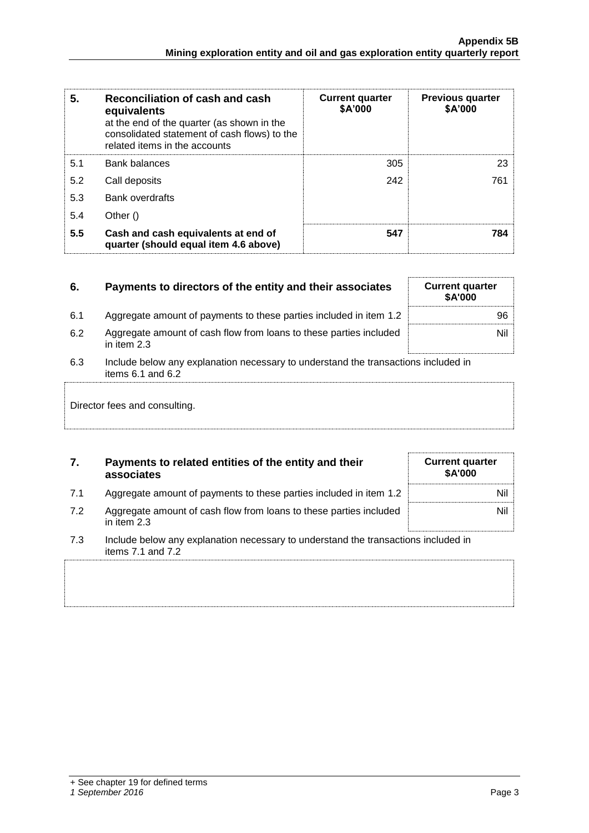| 5.  | Reconciliation of cash and cash<br>equivalents<br>at the end of the quarter (as shown in the<br>consolidated statement of cash flows) to the<br>related items in the accounts | <b>Current quarter</b><br>\$A'000 | <b>Previous quarter</b><br>\$A'000 |
|-----|-------------------------------------------------------------------------------------------------------------------------------------------------------------------------------|-----------------------------------|------------------------------------|
| 5.1 | <b>Bank balances</b>                                                                                                                                                          | 305                               | 23                                 |
| 5.2 | Call deposits                                                                                                                                                                 | 242                               | 761                                |
| 5.3 | <b>Bank overdrafts</b>                                                                                                                                                        |                                   |                                    |
| 5.4 | Other $()$                                                                                                                                                                    |                                   |                                    |
| 5.5 | Cash and cash equivalents at end of<br>quarter (should equal item 4.6 above)                                                                                                  | 547                               | 784                                |

| 6.  | Payments to directors of the entity and their associates                                                    | <b>Current quarter</b><br>\$A'000 |
|-----|-------------------------------------------------------------------------------------------------------------|-----------------------------------|
| 6.1 | Aggregate amount of payments to these parties included in item 1.2                                          | 96                                |
| 6.2 | Aggregate amount of cash flow from loans to these parties included<br>in item 2.3                           | Nil 1                             |
| 6.3 | Include below any explanation necessary to understand the transactions included in<br>items $6.1$ and $6.2$ |                                   |
|     | Director fees and consulting.                                                                               |                                   |

| 7. | Payments to related entities of the entity and their |
|----|------------------------------------------------------|
|    | associates                                           |

|  |  | Aggregate amount of payments to these parties included in item 1.2 |  |  |
|--|--|--------------------------------------------------------------------|--|--|
|--|--|--------------------------------------------------------------------|--|--|

- 7.2 Aggregate amount of cash flow from loans to these parties included in item 2.3
- 7.3 Include below any explanation necessary to understand the transactions included in items 7.1 and 7.2

**Current quarter \$A'000**

Nil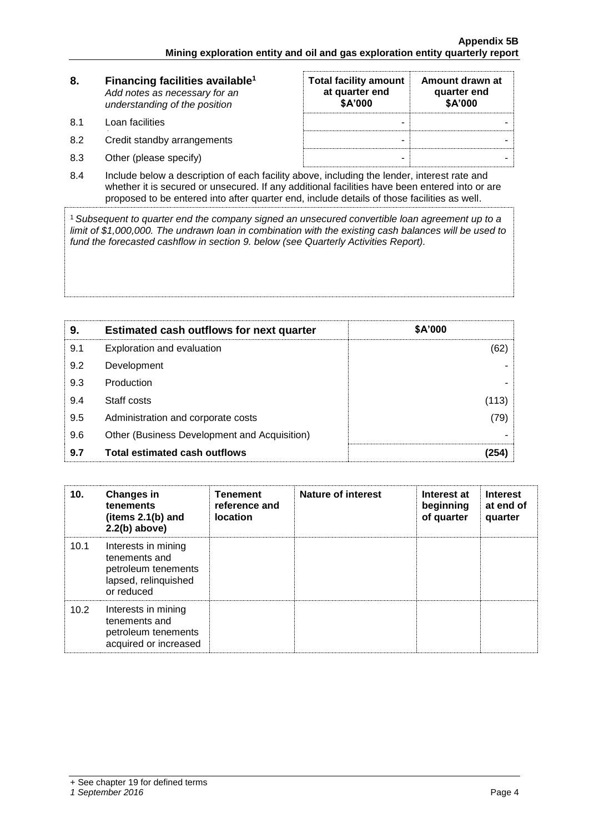| 8.  | Financing facilities available <sup>1</sup><br>Add notes as necessary for an<br>understanding of the position | <b>Total facility amount</b><br>at quarter end<br>\$A'000 | Amount drawn at<br>quarter end<br>\$A'000 |  |
|-----|---------------------------------------------------------------------------------------------------------------|-----------------------------------------------------------|-------------------------------------------|--|
| 8.1 | Loan facilities                                                                                               | -                                                         |                                           |  |
| 8.2 | Credit standby arrangements                                                                                   | -                                                         |                                           |  |
| 8.3 | Other (please specify)                                                                                        | -                                                         |                                           |  |

8.4 Include below a description of each facility above, including the lender, interest rate and whether it is secured or unsecured. If any additional facilities have been entered into or are proposed to be entered into after quarter end, include details of those facilities as well.

<sup>1</sup>*Subsequent to quarter end the company signed an unsecured convertible loan agreement up to a limit of \$1,000,000. The undrawn loan in combination with the existing cash balances will be used to fund the forecasted cashflow in section 9. below (see Quarterly Activities Report).*

| 9.  | <b>Estimated cash outflows for next quarter</b> | <b>\$A'000</b> |
|-----|-------------------------------------------------|----------------|
| 9.1 | Exploration and evaluation                      | (62)           |
| 9.2 | Development                                     |                |
| 9.3 | Production                                      |                |
| 9.4 | Staff costs                                     | (113)          |
| 9.5 | Administration and corporate costs              | (79)           |
| 9.6 | Other (Business Development and Acquisition)    |                |
| 9.7 | Total estimated cash outflows                   | 254            |

| 10.  | <b>Changes in</b><br>tenements<br>(items $2.1(b)$ and<br>$2.2(b)$ above)                          | <b>Tenement</b><br>reference and<br><b>location</b> | Nature of interest | Interest at<br>beginning<br>of quarter | <b>Interest</b><br>at end of<br>quarter |
|------|---------------------------------------------------------------------------------------------------|-----------------------------------------------------|--------------------|----------------------------------------|-----------------------------------------|
| 10.1 | Interests in mining<br>tenements and<br>petroleum tenements<br>lapsed, relinquished<br>or reduced |                                                     |                    |                                        |                                         |
| 10.2 | Interests in mining<br>tenements and<br>petroleum tenements<br>acquired or increased              |                                                     |                    |                                        |                                         |